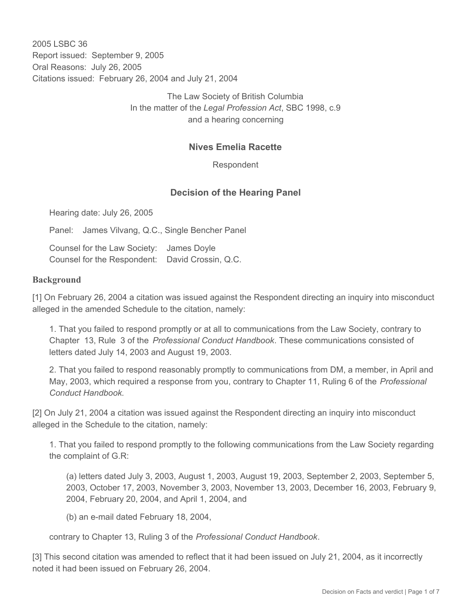2005 LSBC 36 Report issued: September 9, 2005 Oral Reasons: July 26, 2005 Citations issued: February 26, 2004 and July 21, 2004

> The Law Society of British Columbia In the matter of the *Legal Profession Act*, SBC 1998, c.9 and a hearing concerning

## **Nives Emelia Racette**

Respondent

## **Decision of the Hearing Panel**

Hearing date: July 26, 2005

Panel: James Vilvang, Q.C., Single Bencher Panel

Counsel for the Law Society: James Doyle Counsel for the Respondent: David Crossin, Q.C.

#### **Background**

[1] On February 26, 2004 a citation was issued against the Respondent directing an inquiry into misconduct alleged in the amended Schedule to the citation, namely:

1. That you failed to respond promptly or at all to communications from the Law Society, contrary to Chapter 13, Rule 3 of the *Professional Conduct Handbook*. These communications consisted of letters dated July 14, 2003 and August 19, 2003.

2. That you failed to respond reasonably promptly to communications from DM, a member, in April and May, 2003, which required a response from you, contrary to Chapter 11, Ruling 6 of the *Professional Conduct Handbook.*

[2] On July 21, 2004 a citation was issued against the Respondent directing an inquiry into misconduct alleged in the Schedule to the citation, namely:

1. That you failed to respond promptly to the following communications from the Law Society regarding the complaint of G.R:

(a) letters dated July 3, 2003, August 1, 2003, August 19, 2003, September 2, 2003, September 5, 2003, October 17, 2003, November 3, 2003, November 13, 2003, December 16, 2003, February 9, 2004, February 20, 2004, and April 1, 2004, and

(b) an e-mail dated February 18, 2004,

contrary to Chapter 13, Ruling 3 of the *Professional Conduct Handbook*.

[3] This second citation was amended to reflect that it had been issued on July 21, 2004, as it incorrectly noted it had been issued on February 26, 2004.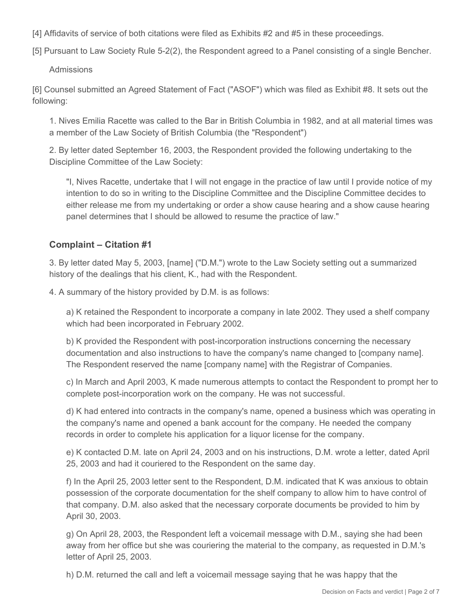[4] Affidavits of service of both citations were filed as Exhibits #2 and #5 in these proceedings.

[5] Pursuant to Law Society Rule 5-2(2), the Respondent agreed to a Panel consisting of a single Bencher.

Admissions

[6] Counsel submitted an Agreed Statement of Fact ("ASOF") which was filed as Exhibit #8. It sets out the following:

1. Nives Emilia Racette was called to the Bar in British Columbia in 1982, and at all material times was a member of the Law Society of British Columbia (the "Respondent")

2. By letter dated September 16, 2003, the Respondent provided the following undertaking to the Discipline Committee of the Law Society:

"I, Nives Racette, undertake that I will not engage in the practice of law until I provide notice of my intention to do so in writing to the Discipline Committee and the Discipline Committee decides to either release me from my undertaking or order a show cause hearing and a show cause hearing panel determines that I should be allowed to resume the practice of law."

# **Complaint – Citation #1**

3. By letter dated May 5, 2003, [name] ("D.M.") wrote to the Law Society setting out a summarized history of the dealings that his client, K., had with the Respondent.

4. A summary of the history provided by D.M. is as follows:

a) K retained the Respondent to incorporate a company in late 2002. They used a shelf company which had been incorporated in February 2002.

b) K provided the Respondent with post-incorporation instructions concerning the necessary documentation and also instructions to have the company's name changed to [company name]. The Respondent reserved the name [company name] with the Registrar of Companies.

c) In March and April 2003, K made numerous attempts to contact the Respondent to prompt her to complete post-incorporation work on the company. He was not successful.

d) K had entered into contracts in the company's name, opened a business which was operating in the company's name and opened a bank account for the company. He needed the company records in order to complete his application for a liquor license for the company.

e) K contacted D.M. late on April 24, 2003 and on his instructions, D.M. wrote a letter, dated April 25, 2003 and had it couriered to the Respondent on the same day.

f) In the April 25, 2003 letter sent to the Respondent, D.M. indicated that K was anxious to obtain possession of the corporate documentation for the shelf company to allow him to have control of that company. D.M. also asked that the necessary corporate documents be provided to him by April 30, 2003.

g) On April 28, 2003, the Respondent left a voicemail message with D.M., saying she had been away from her office but she was couriering the material to the company, as requested in D.M.'s letter of April 25, 2003.

h) D.M. returned the call and left a voicemail message saying that he was happy that the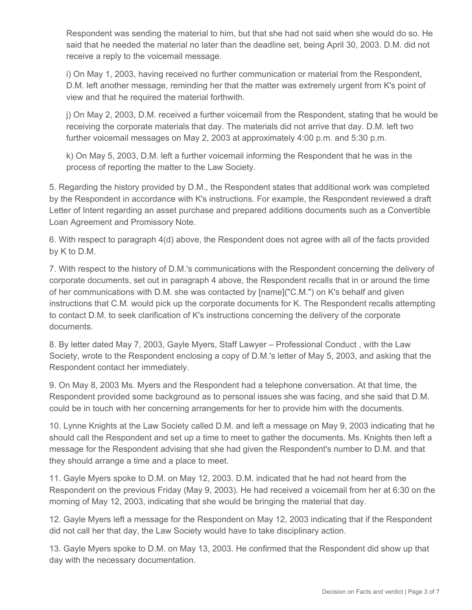Respondent was sending the material to him, but that she had not said when she would do so. He said that he needed the material no later than the deadline set, being April 30, 2003. D.M. did not receive a reply to the voicemail message.

i) On May 1, 2003, having received no further communication or material from the Respondent, D.M. left another message, reminding her that the matter was extremely urgent from K's point of view and that he required the material forthwith.

j) On May 2, 2003, D.M. received a further voicemail from the Respondent, stating that he would be receiving the corporate materials that day. The materials did not arrive that day. D.M. left two further voicemail messages on May 2, 2003 at approximately 4:00 p.m. and 5:30 p.m.

k) On May 5, 2003, D.M. left a further voicemail informing the Respondent that he was in the process of reporting the matter to the Law Society.

5. Regarding the history provided by D.M., the Respondent states that additional work was completed by the Respondent in accordance with K's instructions. For example, the Respondent reviewed a draft Letter of Intent regarding an asset purchase and prepared additions documents such as a Convertible Loan Agreement and Promissory Note.

6. With respect to paragraph 4(d) above, the Respondent does not agree with all of the facts provided by K to D.M.

7. With respect to the history of D.M.'s communications with the Respondent concerning the delivery of corporate documents, set out in paragraph 4 above, the Respondent recalls that in or around the time of her communications with D.M. she was contacted by [name]("C.M.") on K's behalf and given instructions that C.M. would pick up the corporate documents for K. The Respondent recalls attempting to contact D.M. to seek clarification of K's instructions concerning the delivery of the corporate documents.

8. By letter dated May 7, 2003, Gayle Myers, Staff Lawyer – Professional Conduct , with the Law Society, wrote to the Respondent enclosing a copy of D.M.'s letter of May 5, 2003, and asking that the Respondent contact her immediately.

9. On May 8, 2003 Ms. Myers and the Respondent had a telephone conversation. At that time, the Respondent provided some background as to personal issues she was facing, and she said that D.M. could be in touch with her concerning arrangements for her to provide him with the documents.

10. Lynne Knights at the Law Society called D.M. and left a message on May 9, 2003 indicating that he should call the Respondent and set up a time to meet to gather the documents. Ms. Knights then left a message for the Respondent advising that she had given the Respondent's number to D.M. and that they should arrange a time and a place to meet.

11. Gayle Myers spoke to D.M. on May 12, 2003. D.M. indicated that he had not heard from the Respondent on the previous Friday (May 9, 2003). He had received a voicemail from her at 6:30 on the morning of May 12, 2003, indicating that she would be bringing the material that day.

12. Gayle Myers left a message for the Respondent on May 12, 2003 indicating that if the Respondent did not call her that day, the Law Society would have to take disciplinary action.

13. Gayle Myers spoke to D.M. on May 13, 2003. He confirmed that the Respondent did show up that day with the necessary documentation.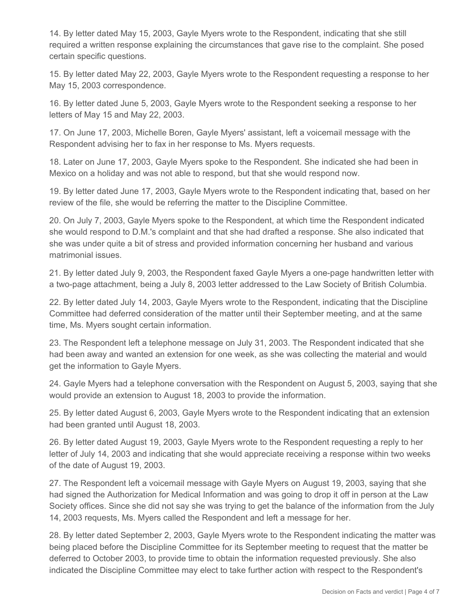14. By letter dated May 15, 2003, Gayle Myers wrote to the Respondent, indicating that she still required a written response explaining the circumstances that gave rise to the complaint. She posed certain specific questions.

15. By letter dated May 22, 2003, Gayle Myers wrote to the Respondent requesting a response to her May 15, 2003 correspondence.

16. By letter dated June 5, 2003, Gayle Myers wrote to the Respondent seeking a response to her letters of May 15 and May 22, 2003.

17. On June 17, 2003, Michelle Boren, Gayle Myers' assistant, left a voicemail message with the Respondent advising her to fax in her response to Ms. Myers requests.

18. Later on June 17, 2003, Gayle Myers spoke to the Respondent. She indicated she had been in Mexico on a holiday and was not able to respond, but that she would respond now.

19. By letter dated June 17, 2003, Gayle Myers wrote to the Respondent indicating that, based on her review of the file, she would be referring the matter to the Discipline Committee.

20. On July 7, 2003, Gayle Myers spoke to the Respondent, at which time the Respondent indicated she would respond to D.M.'s complaint and that she had drafted a response. She also indicated that she was under quite a bit of stress and provided information concerning her husband and various matrimonial issues.

21. By letter dated July 9, 2003, the Respondent faxed Gayle Myers a one-page handwritten letter with a two-page attachment, being a July 8, 2003 letter addressed to the Law Society of British Columbia.

22. By letter dated July 14, 2003, Gayle Myers wrote to the Respondent, indicating that the Discipline Committee had deferred consideration of the matter until their September meeting, and at the same time, Ms. Myers sought certain information.

23. The Respondent left a telephone message on July 31, 2003. The Respondent indicated that she had been away and wanted an extension for one week, as she was collecting the material and would get the information to Gayle Myers.

24. Gayle Myers had a telephone conversation with the Respondent on August 5, 2003, saying that she would provide an extension to August 18, 2003 to provide the information.

25. By letter dated August 6, 2003, Gayle Myers wrote to the Respondent indicating that an extension had been granted until August 18, 2003.

26. By letter dated August 19, 2003, Gayle Myers wrote to the Respondent requesting a reply to her letter of July 14, 2003 and indicating that she would appreciate receiving a response within two weeks of the date of August 19, 2003.

27. The Respondent left a voicemail message with Gayle Myers on August 19, 2003, saying that she had signed the Authorization for Medical Information and was going to drop it off in person at the Law Society offices. Since she did not say she was trying to get the balance of the information from the July 14, 2003 requests, Ms. Myers called the Respondent and left a message for her.

28. By letter dated September 2, 2003, Gayle Myers wrote to the Respondent indicating the matter was being placed before the Discipline Committee for its September meeting to request that the matter be deferred to October 2003, to provide time to obtain the information requested previously. She also indicated the Discipline Committee may elect to take further action with respect to the Respondent's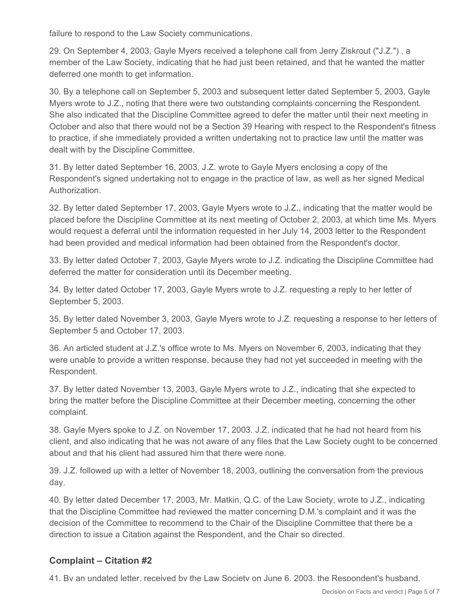failure to respond to the Law Society communications.

29. On September 4, 2003, Gayle Myers received a telephone call from Jerry Ziskrout ("J.Z.") , a member of the Law Society, indicating that he had just been retained, and that he wanted the matter deferred one month to get information.

30. By a telephone call on September 5, 2003 and subsequent letter dated September 5, 2003, Gayle Myers wrote to J.Z., noting that there were two outstanding complaints concerning the Respondent. She also indicated that the Discipline Committee agreed to defer the matter until their next meeting in October and also that there would not be a Section 39 Hearing with respect to the Respondent's fitness to practice, if she immediately provided a written undertaking not to practice law until the matter was dealt with by the Discipline Committee.

31. By letter dated September 16, 2003, J.Z. wrote to Gayle Myers enclosing a copy of the Respondent's signed undertaking not to engage in the practice of law, as well as her signed Medical Authorization.

32. By letter dated September 17, 2003, Gayle Myers wrote to J.Z., indicating that the matter would be placed before the Discipline Committee at its next meeting of October 2, 2003, at which time Ms. Myers would request a deferral until the information requested in her July 14, 2003 letter to the Respondent had been provided and medical information had been obtained from the Respondent's doctor.

33. By letter dated October 7, 2003, Gayle Myers wrote to J.Z. indicating the Discipline Committee had deferred the matter for consideration until its December meeting.

34. By letter dated October 17, 2003, Gayle Myers wrote to J.Z. requesting a reply to her letter of September 5, 2003.

35. By letter dated November 3, 2003, Gayle Myers wrote to J.Z. requesting a response to her letters of September 5 and October 17, 2003.

36. An articled student at J.Z.'s office wrote to Ms. Myers on November 6, 2003, indicating that they were unable to provide a written response, because they had not yet succeeded in meeting with the Respondent.

37. By letter dated November 13, 2003, Gayle Myers wrote to J.Z., indicating that she expected to bring the matter before the Discipline Committee at their December meeting, concerning the other complaint.

38. Gayle Myers spoke to J.Z. on November 17, 2003. J.Z. indicated that he had not heard from his client, and also indicating that he was not aware of any files that the Law Society ought to be concerned about and that his client had assured him that there were none.

39. J.Z. followed up with a letter of November 18, 2003, outlining the conversation from the previous day.

40. By letter dated December 17, 2003, Mr. Matkin, Q.C. of the Law Society, wrote to J.Z., indicating that the Discipline Committee had reviewed the matter concerning D.M.'s complaint and it was the decision of the Committee to recommend to the Chair of the Discipline Committee that there be a direction to issue a Citation against the Respondent, and the Chair so directed.

## **Complaint – Citation #2**

41. By an undated letter, received by the Law Society on June 6, 2003, the Respondent's husband,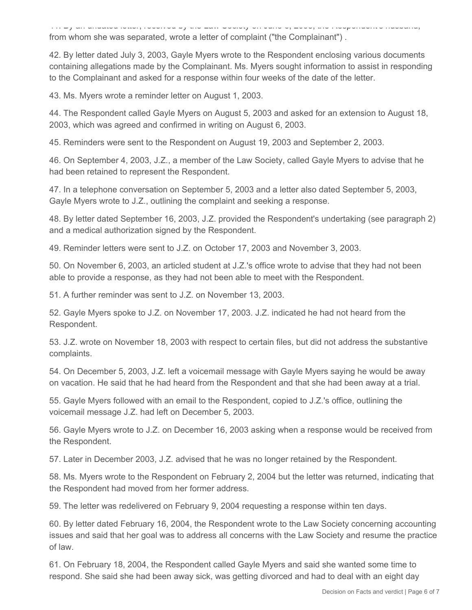41. By an undated letter, received by the Law Society on June 6, 2003, the Respondent's husband, from whom she was separated, wrote a letter of complaint ("the Complainant") .

42. By letter dated July 3, 2003, Gayle Myers wrote to the Respondent enclosing various documents containing allegations made by the Complainant. Ms. Myers sought information to assist in responding to the Complainant and asked for a response within four weeks of the date of the letter.

43. Ms. Myers wrote a reminder letter on August 1, 2003.

44. The Respondent called Gayle Myers on August 5, 2003 and asked for an extension to August 18, 2003, which was agreed and confirmed in writing on August 6, 2003.

45. Reminders were sent to the Respondent on August 19, 2003 and September 2, 2003.

46. On September 4, 2003, J.Z., a member of the Law Society, called Gayle Myers to advise that he had been retained to represent the Respondent.

47. In a telephone conversation on September 5, 2003 and a letter also dated September 5, 2003, Gayle Myers wrote to J.Z., outlining the complaint and seeking a response.

48. By letter dated September 16, 2003, J.Z. provided the Respondent's undertaking (see paragraph 2) and a medical authorization signed by the Respondent.

49. Reminder letters were sent to J.Z. on October 17, 2003 and November 3, 2003.

50. On November 6, 2003, an articled student at J.Z.'s office wrote to advise that they had not been able to provide a response, as they had not been able to meet with the Respondent.

51. A further reminder was sent to J.Z. on November 13, 2003.

52. Gayle Myers spoke to J.Z. on November 17, 2003. J.Z. indicated he had not heard from the Respondent.

53. J.Z. wrote on November 18, 2003 with respect to certain files, but did not address the substantive complaints.

54. On December 5, 2003, J.Z. left a voicemail message with Gayle Myers saying he would be away on vacation. He said that he had heard from the Respondent and that she had been away at a trial.

55. Gayle Myers followed with an email to the Respondent, copied to J.Z.'s office, outlining the voicemail message J.Z. had left on December 5, 2003.

56. Gayle Myers wrote to J.Z. on December 16, 2003 asking when a response would be received from the Respondent.

57. Later in December 2003, J.Z. advised that he was no longer retained by the Respondent.

58. Ms. Myers wrote to the Respondent on February 2, 2004 but the letter was returned, indicating that the Respondent had moved from her former address.

59. The letter was redelivered on February 9, 2004 requesting a response within ten days.

60. By letter dated February 16, 2004, the Respondent wrote to the Law Society concerning accounting issues and said that her goal was to address all concerns with the Law Society and resume the practice of law.

61. On February 18, 2004, the Respondent called Gayle Myers and said she wanted some time to respond. She said she had been away sick, was getting divorced and had to deal with an eight day